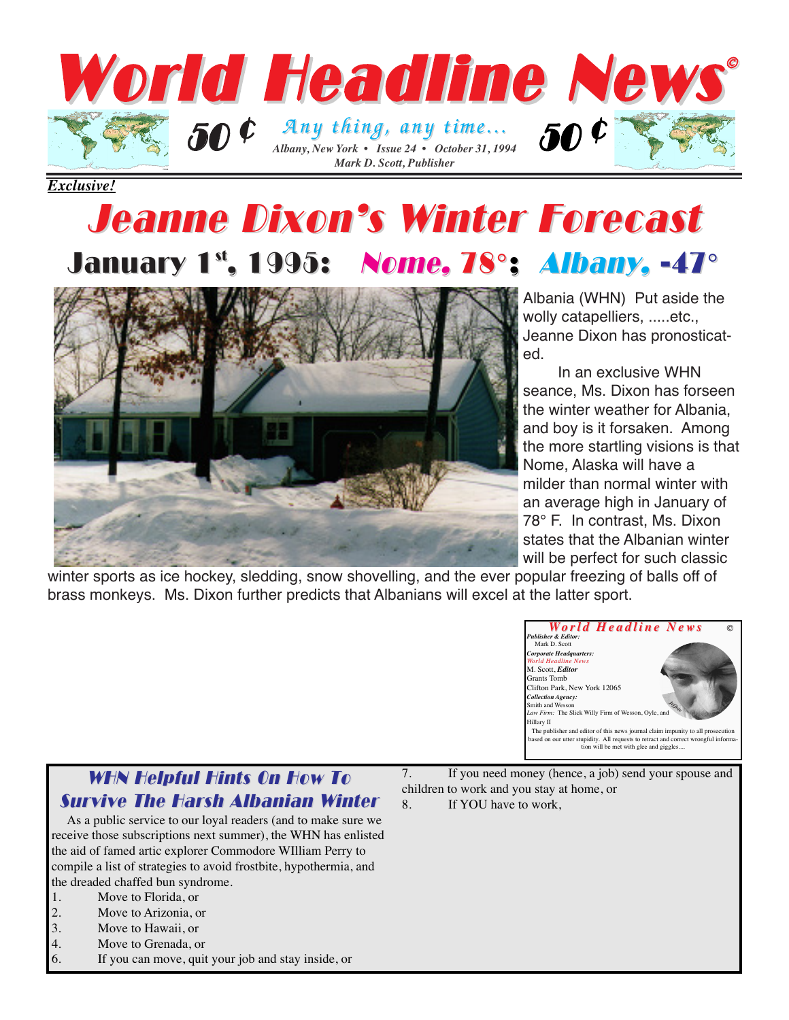

*Exclusive!*

## Jeanne Dixon's Winter Forecast Jeanne Dixon's Winter Forecast January 1st, 1995: *Nome, 78°; Albany*, -47°



Albania (WHN) Put aside the wolly catapelliers, .....etc., Jeanne Dixon has pronosticated.

In an exclusive WHN seance, Ms. Dixon has forseen the winter weather for Albania, and boy is it forsaken. Among the more startling visions is that Nome, Alaska will have a milder than normal winter with an average high in January of 78° F. In contrast, Ms. Dixon states that the Albanian winter will be perfect for such classic

winter sports as ice hockey, sledding, snow shovelling, and the ever popular freezing of balls off of brass monkeys. Ms. Dixon further predicts that Albanians will excel at the latter sport.



## WHN Helpful Hints On How To **Survive The Harsh Albanian Winter**

As a public service to our loyal readers (and to make sure we receive those subscriptions next summer), the WHN has enlisted the aid of famed artic explorer Commodore WIlliam Perry to compile a list of strategies to avoid frostbite, hypothermia, and the dreaded chaffed bun syndrome.

- 1. Move to Florida, or
- 2. Move to Arizonia, or<br>3. Move to Hawaii, or
- Move to Hawaii, or
- 4. Move to Grenada, or
- 6. If you can move, quit your job and stay inside, or

7. If you need money (hence, a job) send your spouse and children to work and you stay at home, or 8. If YOU have to work,